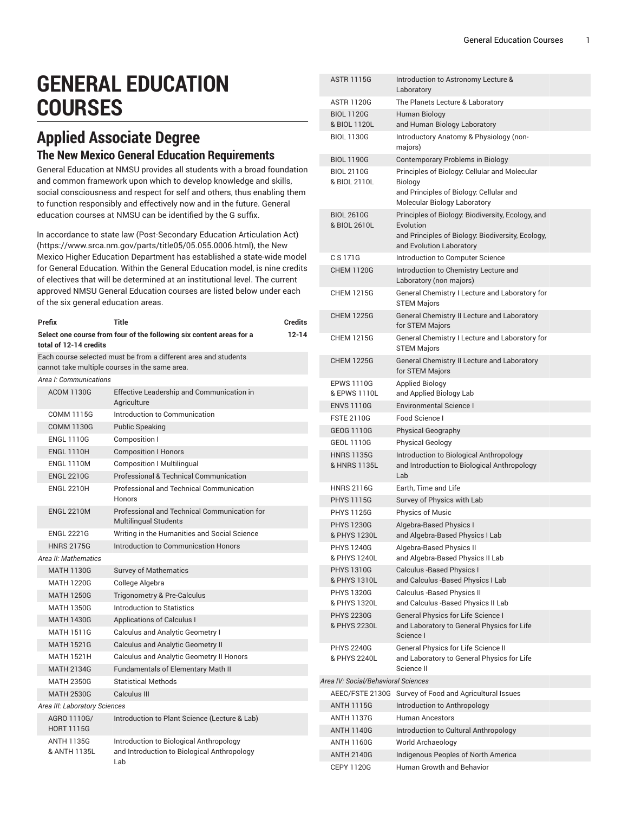## **GENERAL EDUCATION COURSES**

## **Applied Associate Degree The New Mexico General Education Requirements**

General Education at NMSU provides all students with a broad foundation and common framework upon which to develop knowledge and skills, social consciousness and respect for self and others, thus enabling them to function responsibly and effectively now and in the future. General education courses at NMSU can be identified by the G suffix.

In accordance to state law [\(Post-Secondary](https://www.srca.nm.gov/parts/title05/05.055.0006.html) Education Articulation Act) ([https://www.srca.nm.gov/parts/title05/05.055.0006.html\)](https://www.srca.nm.gov/parts/title05/05.055.0006.html), the New Mexico Higher Education Department has established a state-wide model for General Education. Within the General Education model, is nine credits of electives that will be determined at an institutional level. The current approved NMSU General Education courses are listed below under each of the six general education areas.

| Prefix                                                                                                            |                                   | <b>Title</b>                                                                                  | <b>Credits</b> |  |  |
|-------------------------------------------------------------------------------------------------------------------|-----------------------------------|-----------------------------------------------------------------------------------------------|----------------|--|--|
| Select one course from four of the following six content areas for a<br>$12 - 14$<br>total of 12-14 credits       |                                   |                                                                                               |                |  |  |
| Each course selected must be from a different area and students<br>cannot take multiple courses in the same area. |                                   |                                                                                               |                |  |  |
| Area I: Communications                                                                                            |                                   |                                                                                               |                |  |  |
|                                                                                                                   | <b>ACOM 1130G</b>                 | Effective Leadership and Communication in<br>Agriculture                                      |                |  |  |
|                                                                                                                   | <b>COMM 1115G</b>                 | Introduction to Communication                                                                 |                |  |  |
|                                                                                                                   | <b>COMM 1130G</b>                 | <b>Public Speaking</b>                                                                        |                |  |  |
|                                                                                                                   | <b>ENGL 1110G</b>                 | Composition I                                                                                 |                |  |  |
|                                                                                                                   | <b>ENGL 1110H</b>                 | <b>Composition I Honors</b>                                                                   |                |  |  |
|                                                                                                                   | <b>ENGL 1110M</b>                 | <b>Composition I Multilingual</b>                                                             |                |  |  |
|                                                                                                                   | <b>ENGL 2210G</b>                 | Professional & Technical Communication                                                        |                |  |  |
|                                                                                                                   | <b>ENGL 2210H</b>                 | Professional and Technical Communication<br>Honors                                            |                |  |  |
|                                                                                                                   | <b>ENGL 2210M</b>                 | Professional and Technical Communication for<br><b>Multilingual Students</b>                  |                |  |  |
|                                                                                                                   | <b>ENGL 2221G</b>                 | Writing in the Humanities and Social Science                                                  |                |  |  |
|                                                                                                                   | <b>HNRS 2175G</b>                 | Introduction to Communication Honors                                                          |                |  |  |
| Area II: Mathematics                                                                                              |                                   |                                                                                               |                |  |  |
|                                                                                                                   | <b>MATH 1130G</b>                 | <b>Survey of Mathematics</b>                                                                  |                |  |  |
|                                                                                                                   | <b>MATH 1220G</b>                 | College Algebra                                                                               |                |  |  |
|                                                                                                                   | <b>MATH 1250G</b>                 | Trigonometry & Pre-Calculus                                                                   |                |  |  |
|                                                                                                                   | <b>MATH 1350G</b>                 | Introduction to Statistics                                                                    |                |  |  |
|                                                                                                                   | <b>MATH 1430G</b>                 | <b>Applications of Calculus I</b>                                                             |                |  |  |
|                                                                                                                   | <b>MATH 1511G</b>                 | Calculus and Analytic Geometry I                                                              |                |  |  |
|                                                                                                                   | <b>MATH 1521G</b>                 | <b>Calculus and Analytic Geometry II</b>                                                      |                |  |  |
|                                                                                                                   | <b>MATH 1521H</b>                 | Calculus and Analytic Geometry II Honors                                                      |                |  |  |
|                                                                                                                   | <b>MATH 2134G</b>                 | <b>Fundamentals of Elementary Math II</b>                                                     |                |  |  |
|                                                                                                                   | <b>MATH 2350G</b>                 | <b>Statistical Methods</b>                                                                    |                |  |  |
|                                                                                                                   | <b>MATH 2530G</b>                 | Calculus III                                                                                  |                |  |  |
|                                                                                                                   | Area III: Laboratory Sciences     |                                                                                               |                |  |  |
|                                                                                                                   | AGRO 1110G/<br><b>HORT 1115G</b>  | Introduction to Plant Science (Lecture & Lab)                                                 |                |  |  |
|                                                                                                                   | <b>ANTH 1135G</b><br>& ANTH 1135L | Introduction to Biological Anthropology<br>and Introduction to Biological Anthropology<br>Lab |                |  |  |

|                                     | <b>ASTR 1115G</b>                 | Introduction to Astronomy Lecture &<br>Laboratory                                                                                   |  |  |  |
|-------------------------------------|-----------------------------------|-------------------------------------------------------------------------------------------------------------------------------------|--|--|--|
|                                     | <b>ASTR 1120G</b>                 | The Planets Lecture & Laboratory                                                                                                    |  |  |  |
|                                     | <b>BIOL 1120G</b><br>& BIOL 1120L | Human Biology<br>and Human Biology Laboratory                                                                                       |  |  |  |
|                                     | <b>BIOL 1130G</b>                 | Introductory Anatomy & Physiology (non-<br>majors)                                                                                  |  |  |  |
|                                     | <b>BIOL 1190G</b>                 | <b>Contemporary Problems in Biology</b>                                                                                             |  |  |  |
|                                     | <b>BIOL 2110G</b><br>& BIOL 2110L | Principles of Biology: Cellular and Molecular<br>Biology<br>and Principles of Biology: Cellular and<br>Molecular Biology Laboratory |  |  |  |
|                                     | <b>BIOL 2610G</b>                 | Principles of Biology: Biodiversity, Ecology, and                                                                                   |  |  |  |
|                                     | & BIOL 2610L                      | Evolution<br>and Principles of Biology: Biodiversity, Ecology,<br>and Evolution Laboratory                                          |  |  |  |
|                                     | C S 171G                          | Introduction to Computer Science                                                                                                    |  |  |  |
|                                     | <b>CHEM 1120G</b>                 | Introduction to Chemistry Lecture and<br>Laboratory (non majors)                                                                    |  |  |  |
|                                     | <b>CHEM 1215G</b>                 | General Chemistry I Lecture and Laboratory for<br><b>STEM Majors</b>                                                                |  |  |  |
|                                     | <b>CHEM 1225G</b>                 | General Chemistry II Lecture and Laboratory<br>for STEM Majors                                                                      |  |  |  |
|                                     | <b>CHEM 1215G</b>                 | General Chemistry I Lecture and Laboratory for<br><b>STEM Majors</b>                                                                |  |  |  |
|                                     | <b>CHEM 1225G</b>                 | General Chemistry II Lecture and Laboratory<br>for STEM Majors                                                                      |  |  |  |
|                                     | <b>EPWS 1110G</b><br>& EPWS 1110L | <b>Applied Biology</b><br>and Applied Biology Lab                                                                                   |  |  |  |
|                                     | <b>ENVS 1110G</b>                 | <b>Environmental Science I</b>                                                                                                      |  |  |  |
|                                     | <b>FSTE 2110G</b>                 | Food Science I                                                                                                                      |  |  |  |
|                                     | GEOG 1110G                        | <b>Physical Geography</b>                                                                                                           |  |  |  |
|                                     | <b>GEOL 1110G</b>                 | <b>Physical Geology</b>                                                                                                             |  |  |  |
|                                     | <b>HNRS 1135G</b><br>& HNRS 1135L | Introduction to Biological Anthropology<br>and Introduction to Biological Anthropology<br>Lab                                       |  |  |  |
|                                     | <b>HNRS 2116G</b>                 | Earth. Time and Life                                                                                                                |  |  |  |
|                                     | <b>PHYS 1115G</b>                 | Survey of Physics with Lab                                                                                                          |  |  |  |
|                                     | <b>PHYS 1125G</b>                 | <b>Physics of Music</b>                                                                                                             |  |  |  |
|                                     | <b>PHYS 1230G</b><br>& PHYS 1230L | Algebra-Based Physics I<br>and Algebra-Based Physics I Lab                                                                          |  |  |  |
|                                     | <b>PHYS 1240G</b><br>& PHYS 1240L | Algebra-Based Physics II<br>and Algebra-Based Physics II Lab                                                                        |  |  |  |
|                                     | <b>PHYS 1310G</b><br>& PHYS 1310L | Calculus - Based Physics I<br>and Calculus -Based Physics I Lab                                                                     |  |  |  |
|                                     | <b>PHYS 1320G</b><br>& PHYS 1320L | Calculus - Based Physics II<br>and Calculus -Based Physics II Lab                                                                   |  |  |  |
|                                     | <b>PHYS 2230G</b><br>& PHYS 2230L | <b>General Physics for Life Science I</b><br>and Laboratory to General Physics for Life<br>Science I                                |  |  |  |
|                                     | <b>PHYS 2240G</b><br>& PHYS 2240L | General Physics for Life Science II<br>and Laboratory to General Physics for Life<br>Science II                                     |  |  |  |
| Area IV: Social/Behavioral Sciences |                                   |                                                                                                                                     |  |  |  |
|                                     |                                   | AEEC/FSTE 2130G Survey of Food and Agricultural Issues                                                                              |  |  |  |
|                                     | <b>ANTH 1115G</b>                 | Introduction to Anthropology                                                                                                        |  |  |  |
|                                     | <b>ANTH 1137G</b>                 | <b>Human Ancestors</b>                                                                                                              |  |  |  |
|                                     | <b>ANTH 1140G</b>                 | Introduction to Cultural Anthropology                                                                                               |  |  |  |
|                                     | <b>ANTH 1160G</b>                 | World Archaeology                                                                                                                   |  |  |  |
|                                     | <b>ANTH 2140G</b>                 | Indigenous Peoples of North America                                                                                                 |  |  |  |
|                                     | <b>CEPY 1120G</b>                 | <b>Human Growth and Behavior</b>                                                                                                    |  |  |  |